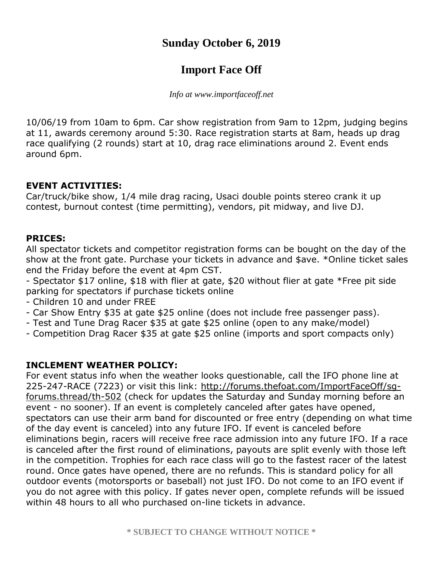## **Sunday October 6, 2019**

# **Import Face Off**

*Info at www.importfaceoff.net*

10/06/19 from 10am to 6pm. [Car](http://forums.thefoat.com/) show registration from 9am to 12pm, judging begins at 11, awards ceremony around 5:30. Race registration starts at 8am, heads up drag race qualifying (2 rounds) start at 10, drag race eliminations around 2. Event ends around 6pm.

### **EVENT ACTIVITIES:**

Car/truck/bike show, 1/4 mile drag racing, Usaci double points stereo crank it up contest, burnout contest (time permitting), vendors, pit midway, and live DJ.

#### **PRICES:**

All spectator tickets and competitor registration forms can be bought on the day of the show at the front gate. Purchase your tickets in advance and \$ave. \*Online ticket sales end the Friday before the event at 4pm CST.

- Spectator \$17 online, \$18 with flier at gate, \$20 without flier at gate \*Free pit side parking for spectators if purchase tickets online

- Children 10 and under FREE
- Car Show Entry \$35 at gate \$25 online (does not include free passenger pass).
- Test and Tune Drag Racer \$35 at gate \$25 online (open to any make/model)
- Competition Drag Racer \$35 at gate \$25 online (imports and sport compacts only)

#### **INCLEMENT WEATHER POLICY:**

For event status info when the weather looks questionable, call the IFO phone line at 225-247-RACE (7223) or visit this link: http://forums.thefoat.com/ImportFaceOff/sq[forums.thread/th-502](http://forums.thefoat.com/ImportFaceOff/sg-forums.thread/th-502) (check for updates the Saturday and Sunday morning before an event - no sooner). If an event is completely canceled after gates have opened, spectators can use their arm band for discounted or free entry (depending on what time of the day event is canceled) into any future IFO. If event is canceled before eliminations begin, racers will receive free race admission into any future IFO. If a race is canceled after the first round of eliminations, payouts are split evenly with those left in the competition. Trophies for each race class will go to the fastest racer of the latest round. Once gates have opened, there are no refunds. This is standard policy for all outdoor events (motorsports or baseball) not just IFO. Do not come to an IFO event if you do not agree with this policy. If gates never open, complete refunds will be issued within 48 hours to all who purchased on-line tickets in advance.